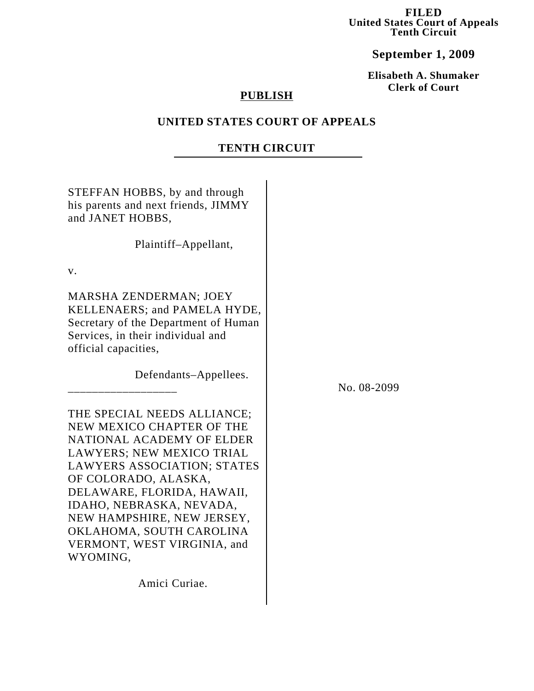**FILED United States Court of Appeals Tenth Circuit**

**September 1, 2009**

**Elisabeth A. Shumaker Clerk of Court**

# **PUBLISH**

## **UNITED STATES COURT OF APPEALS**

## **TENTH CIRCUIT**

STEFFAN HOBBS, by and through his parents and next friends, JIMMY and JANET HOBBS,

Plaintiff–Appellant,

v.

MARSHA ZENDERMAN; JOEY KELLENAERS; and PAMELA HYDE, Secretary of the Department of Human Services, in their individual and official capacities,

\_\_\_\_\_\_\_\_\_\_\_\_\_\_\_\_\_\_\_\_\_\_\_

Defendants–Appellees.

No. 08-2099

THE SPECIAL NEEDS ALLIANCE; NEW MEXICO CHAPTER OF THE NATIONAL ACADEMY OF ELDER LAWYERS; NEW MEXICO TRIAL LAWYERS ASSOCIATION; STATES OF COLORADO, ALASKA, DELAWARE, FLORIDA, HAWAII, IDAHO, NEBRASKA, NEVADA, NEW HAMPSHIRE, NEW JERSEY, OKLAHOMA, SOUTH CAROLINA VERMONT, WEST VIRGINIA, and WYOMING,

Amici Curiae.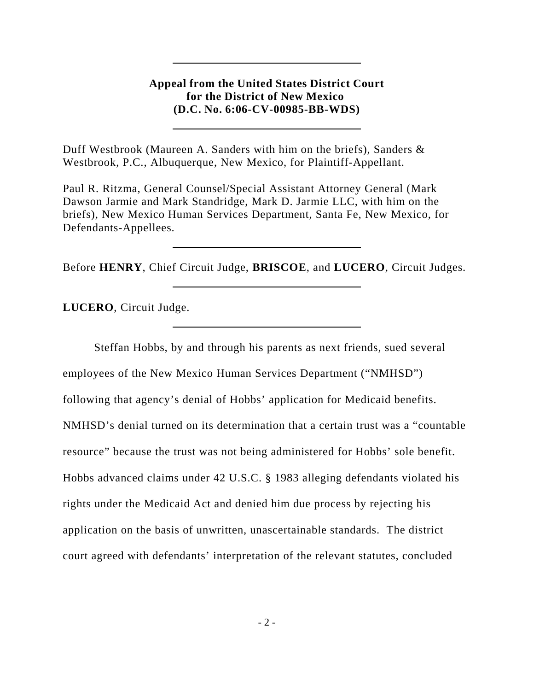# **Appeal from the United States District Court for the District of New Mexico (D.C. No. 6:06-CV-00985-BB-WDS)**

Duff Westbrook (Maureen A. Sanders with him on the briefs), Sanders & Westbrook, P.C., Albuquerque, New Mexico, for Plaintiff-Appellant.

Paul R. Ritzma, General Counsel/Special Assistant Attorney General (Mark Dawson Jarmie and Mark Standridge, Mark D. Jarmie LLC, with him on the briefs), New Mexico Human Services Department, Santa Fe, New Mexico, for Defendants-Appellees.

Before **HENRY**, Chief Circuit Judge, **BRISCOE**, and **LUCERO**, Circuit Judges.

**LUCERO**, Circuit Judge.

Steffan Hobbs, by and through his parents as next friends, sued several employees of the New Mexico Human Services Department ("NMHSD") following that agency's denial of Hobbs' application for Medicaid benefits. NMHSD's denial turned on its determination that a certain trust was a "countable resource" because the trust was not being administered for Hobbs' sole benefit. Hobbs advanced claims under 42 U.S.C. § 1983 alleging defendants violated his rights under the Medicaid Act and denied him due process by rejecting his application on the basis of unwritten, unascertainable standards. The district court agreed with defendants' interpretation of the relevant statutes, concluded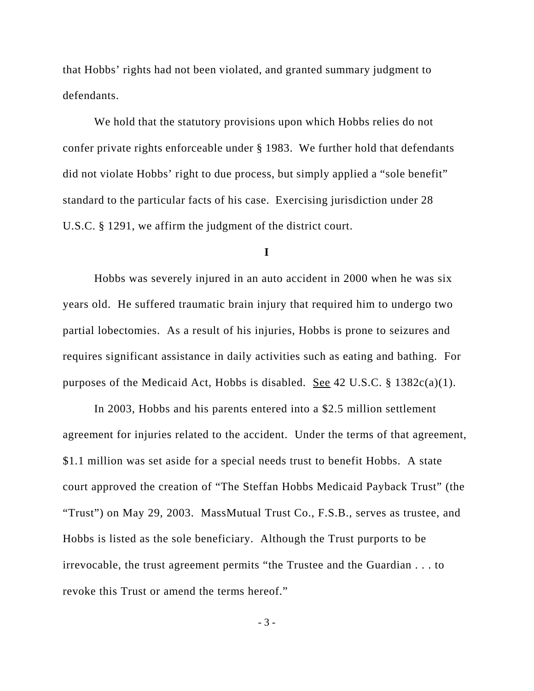that Hobbs' rights had not been violated, and granted summary judgment to defendants.

We hold that the statutory provisions upon which Hobbs relies do not confer private rights enforceable under § 1983. We further hold that defendants did not violate Hobbs' right to due process, but simply applied a "sole benefit" standard to the particular facts of his case. Exercising jurisdiction under 28 U.S.C. § 1291, we affirm the judgment of the district court.

#### **I**

Hobbs was severely injured in an auto accident in 2000 when he was six years old. He suffered traumatic brain injury that required him to undergo two partial lobectomies. As a result of his injuries, Hobbs is prone to seizures and requires significant assistance in daily activities such as eating and bathing. For purposes of the Medicaid Act, Hobbs is disabled. <u>See</u> 42 U.S.C. § 1382c(a)(1).

In 2003, Hobbs and his parents entered into a \$2.5 million settlement agreement for injuries related to the accident. Under the terms of that agreement, \$1.1 million was set aside for a special needs trust to benefit Hobbs. A state court approved the creation of "The Steffan Hobbs Medicaid Payback Trust" (the "Trust") on May 29, 2003. MassMutual Trust Co., F.S.B., serves as trustee, and Hobbs is listed as the sole beneficiary. Although the Trust purports to be irrevocable, the trust agreement permits "the Trustee and the Guardian . . . to revoke this Trust or amend the terms hereof."

- 3 -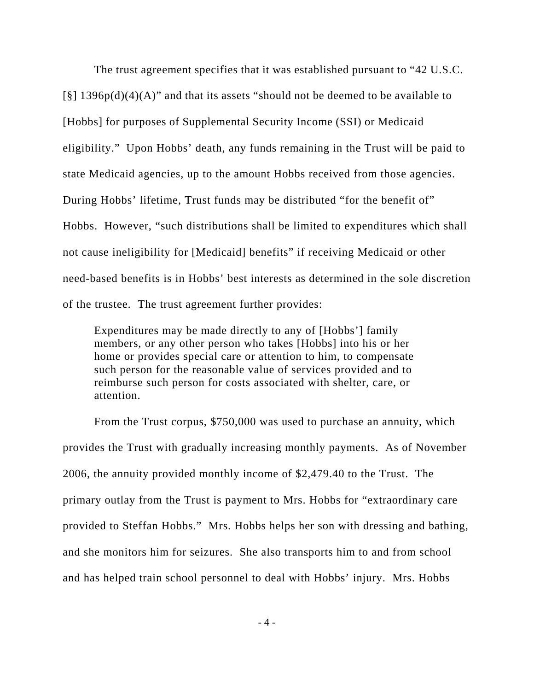The trust agreement specifies that it was established pursuant to "42 U.S.C.  $\lceil \xi \rceil$  1396p(d)(4)(A)" and that its assets "should not be deemed to be available to [Hobbs] for purposes of Supplemental Security Income (SSI) or Medicaid eligibility." Upon Hobbs' death, any funds remaining in the Trust will be paid to state Medicaid agencies, up to the amount Hobbs received from those agencies. During Hobbs' lifetime, Trust funds may be distributed "for the benefit of" Hobbs. However, "such distributions shall be limited to expenditures which shall not cause ineligibility for [Medicaid] benefits" if receiving Medicaid or other need-based benefits is in Hobbs' best interests as determined in the sole discretion of the trustee. The trust agreement further provides:

Expenditures may be made directly to any of [Hobbs'] family members, or any other person who takes [Hobbs] into his or her home or provides special care or attention to him, to compensate such person for the reasonable value of services provided and to reimburse such person for costs associated with shelter, care, or attention.

From the Trust corpus, \$750,000 was used to purchase an annuity, which provides the Trust with gradually increasing monthly payments. As of November 2006, the annuity provided monthly income of \$2,479.40 to the Trust. The primary outlay from the Trust is payment to Mrs. Hobbs for "extraordinary care provided to Steffan Hobbs." Mrs. Hobbs helps her son with dressing and bathing, and she monitors him for seizures. She also transports him to and from school and has helped train school personnel to deal with Hobbs' injury. Mrs. Hobbs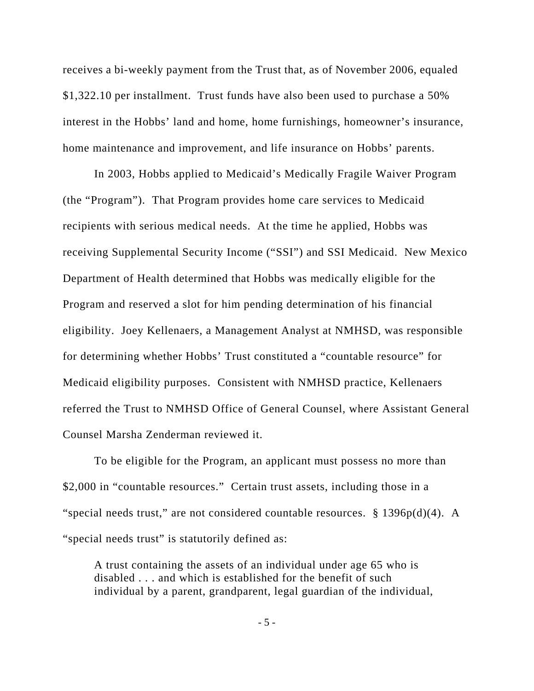receives a bi-weekly payment from the Trust that, as of November 2006, equaled \$1,322.10 per installment. Trust funds have also been used to purchase a 50% interest in the Hobbs' land and home, home furnishings, homeowner's insurance, home maintenance and improvement, and life insurance on Hobbs' parents.

In 2003, Hobbs applied to Medicaid's Medically Fragile Waiver Program (the "Program"). That Program provides home care services to Medicaid recipients with serious medical needs. At the time he applied, Hobbs was receiving Supplemental Security Income ("SSI") and SSI Medicaid. New Mexico Department of Health determined that Hobbs was medically eligible for the Program and reserved a slot for him pending determination of his financial eligibility. Joey Kellenaers, a Management Analyst at NMHSD, was responsible for determining whether Hobbs' Trust constituted a "countable resource" for Medicaid eligibility purposes. Consistent with NMHSD practice, Kellenaers referred the Trust to NMHSD Office of General Counsel, where Assistant General Counsel Marsha Zenderman reviewed it.

To be eligible for the Program, an applicant must possess no more than \$2,000 in "countable resources." Certain trust assets, including those in a "special needs trust," are not considered countable resources. § 1396p(d)(4). A "special needs trust" is statutorily defined as:

A trust containing the assets of an individual under age 65 who is disabled . . . and which is established for the benefit of such individual by a parent, grandparent, legal guardian of the individual,

- 5 -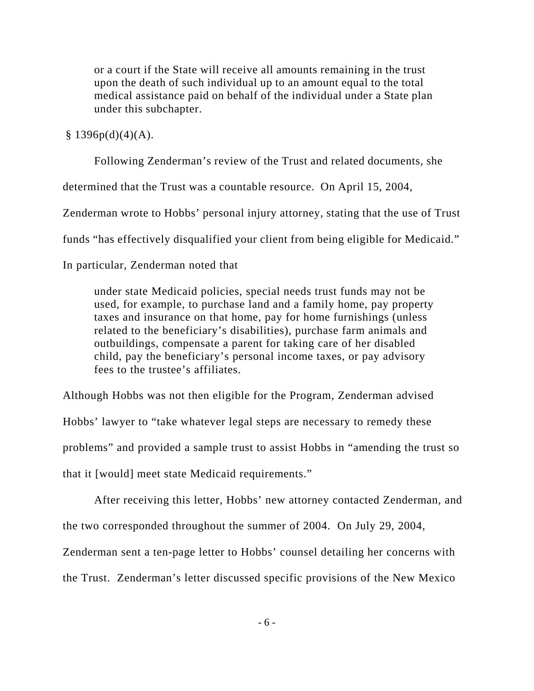or a court if the State will receive all amounts remaining in the trust upon the death of such individual up to an amount equal to the total medical assistance paid on behalf of the individual under a State plan under this subchapter.

## $§ 1396p(d)(4)(A).$

Following Zenderman's review of the Trust and related documents, she

determined that the Trust was a countable resource. On April 15, 2004,

Zenderman wrote to Hobbs' personal injury attorney, stating that the use of Trust

funds "has effectively disqualified your client from being eligible for Medicaid."

### In particular, Zenderman noted that

under state Medicaid policies, special needs trust funds may not be used, for example, to purchase land and a family home, pay property taxes and insurance on that home, pay for home furnishings (unless related to the beneficiary's disabilities), purchase farm animals and outbuildings, compensate a parent for taking care of her disabled child, pay the beneficiary's personal income taxes, or pay advisory fees to the trustee's affiliates.

Although Hobbs was not then eligible for the Program, Zenderman advised Hobbs' lawyer to "take whatever legal steps are necessary to remedy these problems" and provided a sample trust to assist Hobbs in "amending the trust so that it [would] meet state Medicaid requirements."

After receiving this letter, Hobbs' new attorney contacted Zenderman, and the two corresponded throughout the summer of 2004. On July 29, 2004,

Zenderman sent a ten-page letter to Hobbs' counsel detailing her concerns with

the Trust. Zenderman's letter discussed specific provisions of the New Mexico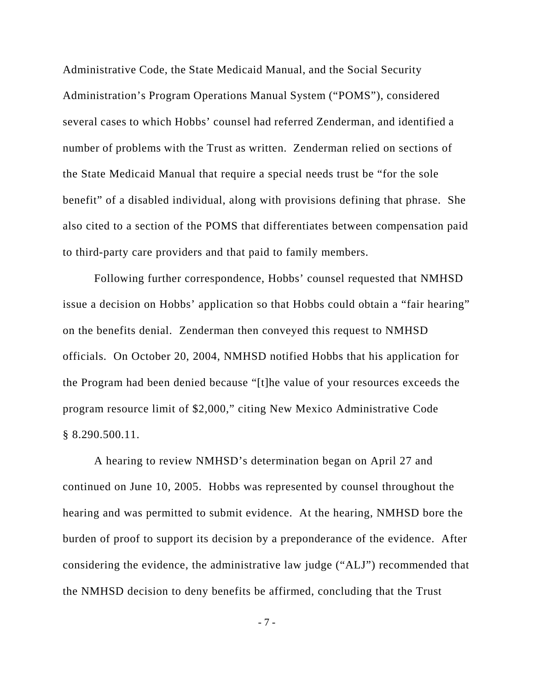Administrative Code, the State Medicaid Manual, and the Social Security Administration's Program Operations Manual System ("POMS"), considered several cases to which Hobbs' counsel had referred Zenderman, and identified a number of problems with the Trust as written. Zenderman relied on sections of the State Medicaid Manual that require a special needs trust be "for the sole benefit" of a disabled individual, along with provisions defining that phrase. She also cited to a section of the POMS that differentiates between compensation paid to third-party care providers and that paid to family members.

Following further correspondence, Hobbs' counsel requested that NMHSD issue a decision on Hobbs' application so that Hobbs could obtain a "fair hearing" on the benefits denial. Zenderman then conveyed this request to NMHSD officials. On October 20, 2004, NMHSD notified Hobbs that his application for the Program had been denied because "[t]he value of your resources exceeds the program resource limit of \$2,000," citing New Mexico Administrative Code § 8.290.500.11.

A hearing to review NMHSD's determination began on April 27 and continued on June 10, 2005. Hobbs was represented by counsel throughout the hearing and was permitted to submit evidence. At the hearing, NMHSD bore the burden of proof to support its decision by a preponderance of the evidence. After considering the evidence, the administrative law judge ("ALJ") recommended that the NMHSD decision to deny benefits be affirmed, concluding that the Trust

- 7 -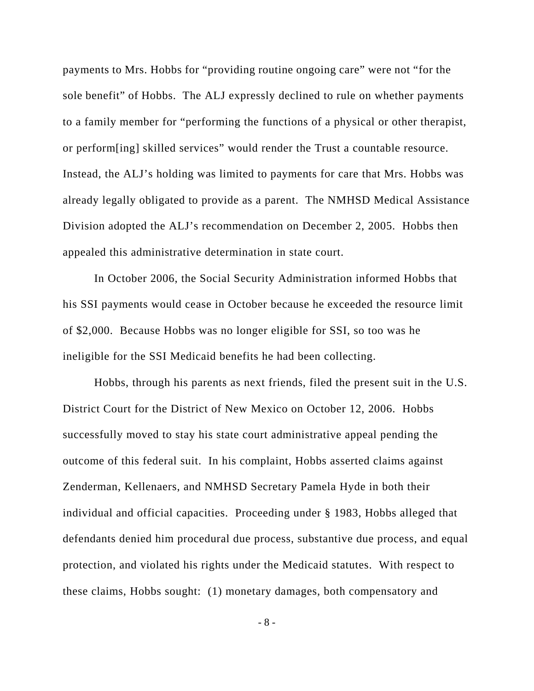payments to Mrs. Hobbs for "providing routine ongoing care" were not "for the sole benefit" of Hobbs. The ALJ expressly declined to rule on whether payments to a family member for "performing the functions of a physical or other therapist, or perform[ing] skilled services" would render the Trust a countable resource. Instead, the ALJ's holding was limited to payments for care that Mrs. Hobbs was already legally obligated to provide as a parent. The NMHSD Medical Assistance Division adopted the ALJ's recommendation on December 2, 2005. Hobbs then appealed this administrative determination in state court.

In October 2006, the Social Security Administration informed Hobbs that his SSI payments would cease in October because he exceeded the resource limit of \$2,000. Because Hobbs was no longer eligible for SSI, so too was he ineligible for the SSI Medicaid benefits he had been collecting.

Hobbs, through his parents as next friends, filed the present suit in the U.S. District Court for the District of New Mexico on October 12, 2006. Hobbs successfully moved to stay his state court administrative appeal pending the outcome of this federal suit. In his complaint, Hobbs asserted claims against Zenderman, Kellenaers, and NMHSD Secretary Pamela Hyde in both their individual and official capacities. Proceeding under § 1983, Hobbs alleged that defendants denied him procedural due process, substantive due process, and equal protection, and violated his rights under the Medicaid statutes. With respect to these claims, Hobbs sought: (1) monetary damages, both compensatory and

- 8 -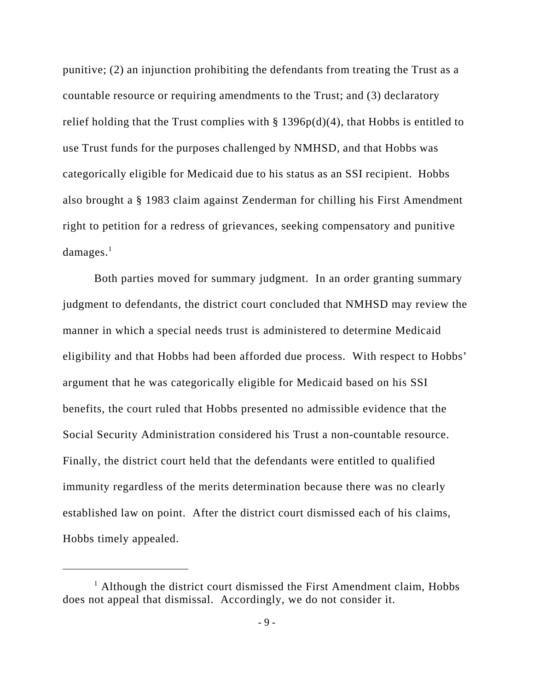punitive; (2) an injunction prohibiting the defendants from treating the Trust as a countable resource or requiring amendments to the Trust; and (3) declaratory relief holding that the Trust complies with  $\S 1396p(d)(4)$ , that Hobbs is entitled to use Trust funds for the purposes challenged by NMHSD, and that Hobbs was categorically eligible for Medicaid due to his status as an SSI recipient. Hobbs also brought a § 1983 claim against Zenderman for chilling his First Amendment right to petition for a redress of grievances, seeking compensatory and punitive  $damages.<sup>1</sup>$ 

Both parties moved for summary judgment. In an order granting summary judgment to defendants, the district court concluded that NMHSD may review the manner in which a special needs trust is administered to determine Medicaid eligibility and that Hobbs had been afforded due process. With respect to Hobbs' argument that he was categorically eligible for Medicaid based on his SSI benefits, the court ruled that Hobbs presented no admissible evidence that the Social Security Administration considered his Trust a non-countable resource. Finally, the district court held that the defendants were entitled to qualified immunity regardless of the merits determination because there was no clearly established law on point. After the district court dismissed each of his claims, Hobbs timely appealed.

<sup>&</sup>lt;sup>1</sup> Although the district court dismissed the First Amendment claim, Hobbs does not appeal that dismissal. Accordingly, we do not consider it.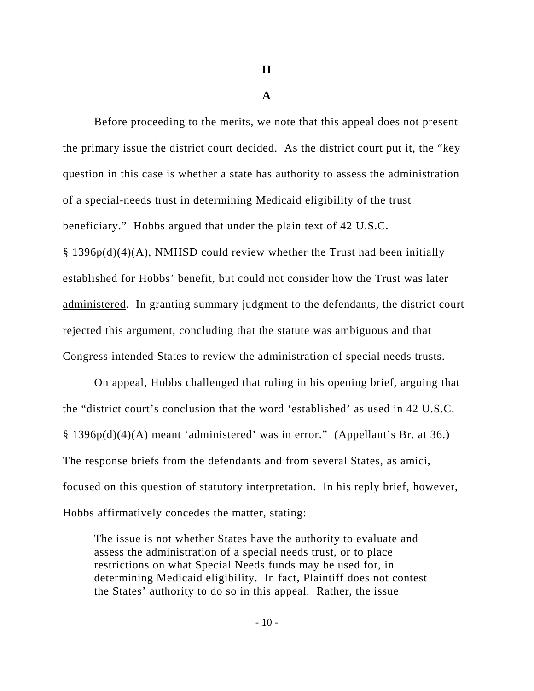**II**

#### **A**

Before proceeding to the merits, we note that this appeal does not present the primary issue the district court decided. As the district court put it, the "key question in this case is whether a state has authority to assess the administration of a special-needs trust in determining Medicaid eligibility of the trust beneficiary." Hobbs argued that under the plain text of 42 U.S.C. § 1396p(d)(4)(A), NMHSD could review whether the Trust had been initially established for Hobbs' benefit, but could not consider how the Trust was later administered. In granting summary judgment to the defendants, the district court rejected this argument, concluding that the statute was ambiguous and that Congress intended States to review the administration of special needs trusts.

On appeal, Hobbs challenged that ruling in his opening brief, arguing that the "district court's conclusion that the word 'established' as used in 42 U.S.C. § 1396p(d)(4)(A) meant 'administered' was in error." (Appellant's Br. at 36.) The response briefs from the defendants and from several States, as amici, focused on this question of statutory interpretation. In his reply brief, however, Hobbs affirmatively concedes the matter, stating:

The issue is not whether States have the authority to evaluate and assess the administration of a special needs trust, or to place restrictions on what Special Needs funds may be used for, in determining Medicaid eligibility. In fact, Plaintiff does not contest the States' authority to do so in this appeal. Rather, the issue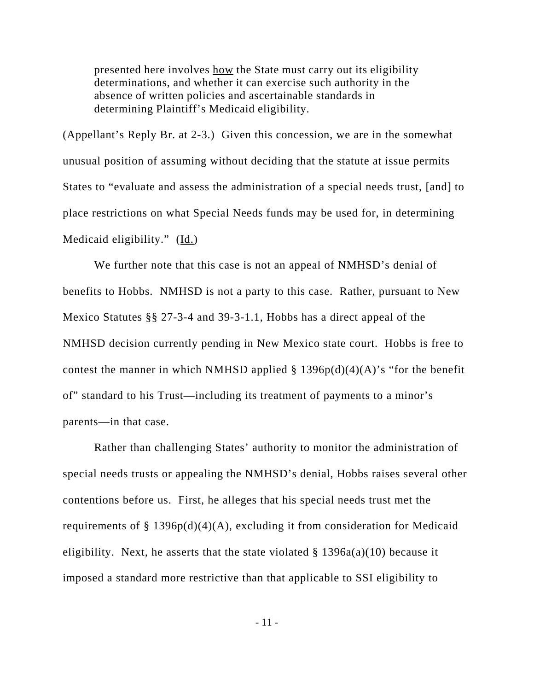presented here involves how the State must carry out its eligibility determinations, and whether it can exercise such authority in the absence of written policies and ascertainable standards in determining Plaintiff's Medicaid eligibility.

(Appellant's Reply Br. at 2-3.) Given this concession, we are in the somewhat unusual position of assuming without deciding that the statute at issue permits States to "evaluate and assess the administration of a special needs trust, [and] to place restrictions on what Special Needs funds may be used for, in determining Medicaid eligibility."  $(\underline{Id.})$ 

We further note that this case is not an appeal of NMHSD's denial of benefits to Hobbs. NMHSD is not a party to this case. Rather, pursuant to New Mexico Statutes §§ 27-3-4 and 39-3-1.1, Hobbs has a direct appeal of the NMHSD decision currently pending in New Mexico state court. Hobbs is free to contest the manner in which NMHSD applied  $\S$  1396p(d)(4)(A)'s "for the benefit of" standard to his Trust—including its treatment of payments to a minor's parents—in that case.

Rather than challenging States' authority to monitor the administration of special needs trusts or appealing the NMHSD's denial, Hobbs raises several other contentions before us. First, he alleges that his special needs trust met the requirements of § 1396 $p(d)(4)(A)$ , excluding it from consideration for Medicaid eligibility. Next, he asserts that the state violated  $\S$  1396a(a)(10) because it imposed a standard more restrictive than that applicable to SSI eligibility to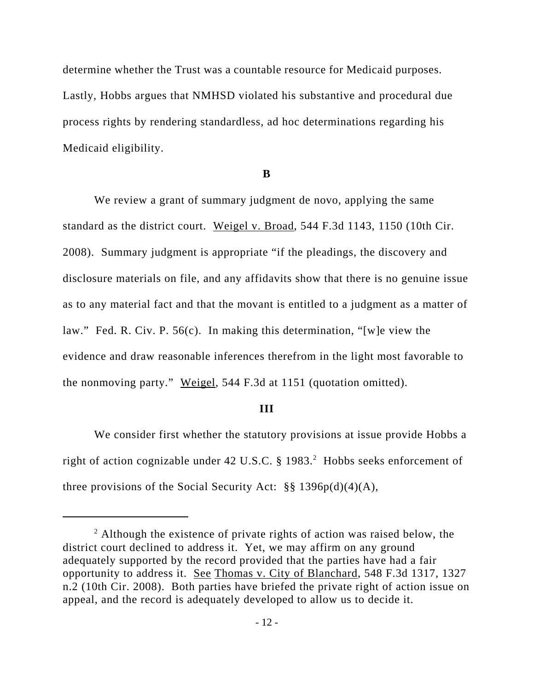determine whether the Trust was a countable resource for Medicaid purposes. Lastly, Hobbs argues that NMHSD violated his substantive and procedural due process rights by rendering standardless, ad hoc determinations regarding his Medicaid eligibility.

### **B**

We review a grant of summary judgment de novo, applying the same standard as the district court. Weigel v. Broad, 544 F.3d 1143, 1150 (10th Cir. 2008). Summary judgment is appropriate "if the pleadings, the discovery and disclosure materials on file, and any affidavits show that there is no genuine issue as to any material fact and that the movant is entitled to a judgment as a matter of law." Fed. R. Civ. P. 56(c). In making this determination, "[w]e view the evidence and draw reasonable inferences therefrom in the light most favorable to the nonmoving party." Weigel, 544 F.3d at 1151 (quotation omitted).

#### **III**

We consider first whether the statutory provisions at issue provide Hobbs a right of action cognizable under 42 U.S.C.  $\S$  1983.<sup>2</sup> Hobbs seeks enforcement of three provisions of the Social Security Act:  $\S\S 1396p(d)(4)(A)$ ,

 $2$  Although the existence of private rights of action was raised below, the district court declined to address it. Yet, we may affirm on any ground adequately supported by the record provided that the parties have had a fair opportunity to address it. See Thomas v. City of Blanchard, 548 F.3d 1317, 1327 n.2 (10th Cir. 2008). Both parties have briefed the private right of action issue on appeal, and the record is adequately developed to allow us to decide it.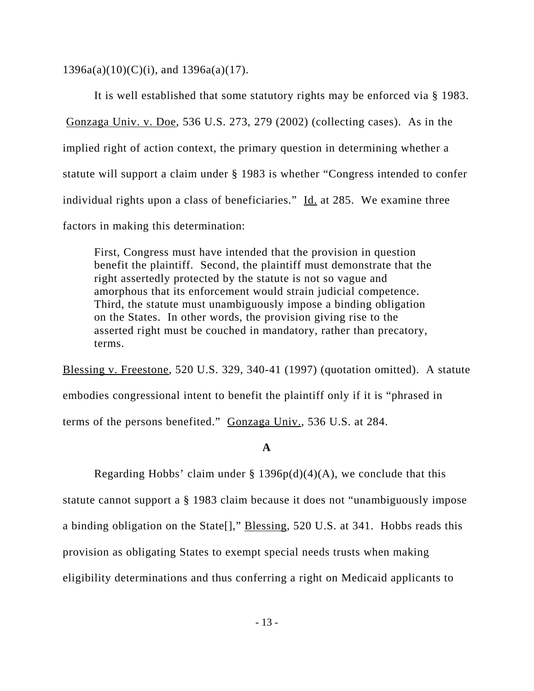$1396a(a)(10)(C)(i)$ , and  $1396a(a)(17)$ .

It is well established that some statutory rights may be enforced via § 1983. Gonzaga Univ. v. Doe, 536 U.S. 273, 279 (2002) (collecting cases). As in the implied right of action context, the primary question in determining whether a statute will support a claim under § 1983 is whether "Congress intended to confer individual rights upon a class of beneficiaries." Id. at 285. We examine three factors in making this determination:

First, Congress must have intended that the provision in question benefit the plaintiff. Second, the plaintiff must demonstrate that the right assertedly protected by the statute is not so vague and amorphous that its enforcement would strain judicial competence. Third, the statute must unambiguously impose a binding obligation on the States. In other words, the provision giving rise to the asserted right must be couched in mandatory, rather than precatory, terms.

Blessing v. Freestone, 520 U.S. 329, 340-41 (1997) (quotation omitted). A statute embodies congressional intent to benefit the plaintiff only if it is "phrased in terms of the persons benefited." Gonzaga Univ., 536 U.S. at 284.

### **A**

Regarding Hobbs' claim under  $\S 1396p(d)(4)(A)$ , we conclude that this statute cannot support a § 1983 claim because it does not "unambiguously impose a binding obligation on the State[]," Blessing, 520 U.S. at 341. Hobbs reads this provision as obligating States to exempt special needs trusts when making eligibility determinations and thus conferring a right on Medicaid applicants to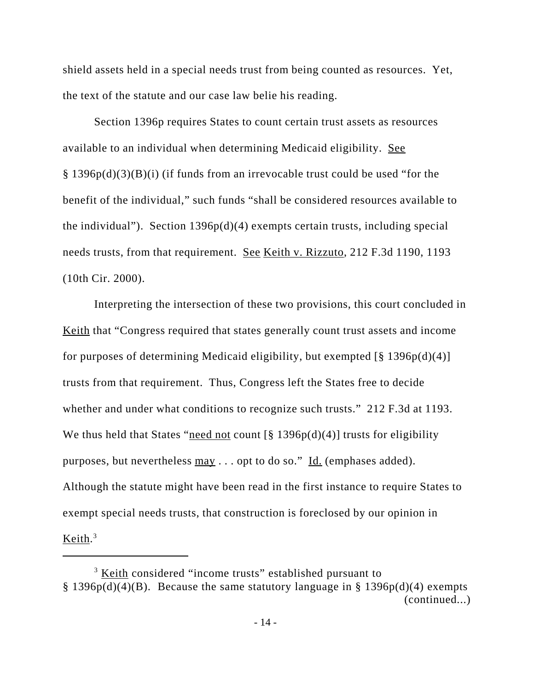shield assets held in a special needs trust from being counted as resources. Yet, the text of the statute and our case law belie his reading.

Section 1396p requires States to count certain trust assets as resources available to an individual when determining Medicaid eligibility. See § 1396p(d)(3)(B)(i) (if funds from an irrevocable trust could be used "for the benefit of the individual," such funds "shall be considered resources available to the individual"). Section  $1396p(d)(4)$  exempts certain trusts, including special needs trusts, from that requirement. See Keith v. Rizzuto, 212 F.3d 1190, 1193 (10th Cir. 2000).

Interpreting the intersection of these two provisions, this court concluded in Keith that "Congress required that states generally count trust assets and income for purposes of determining Medicaid eligibility, but exempted  $\lceil \frac{8}{3} \cdot 1396p(d)(4) \rceil$ trusts from that requirement. Thus, Congress left the States free to decide whether and under what conditions to recognize such trusts." 212 F.3d at 1193. We thus held that States "need not count  $\lceil \frac{8}{9} \cdot 1396p(d)(4) \rceil$  trusts for eligibility purposes, but nevertheless  $\frac{\text{max}}{\text{max}}$ ... opt to do so." Id. (emphases added). Although the statute might have been read in the first instance to require States to exempt special needs trusts, that construction is foreclosed by our opinion in Keith.<sup>3</sup>

<sup>&</sup>lt;sup>3</sup> Keith considered "income trusts" established pursuant to § 1396p(d)(4)(B). Because the same statutory language in § 1396p(d)(4) exempts (continued...)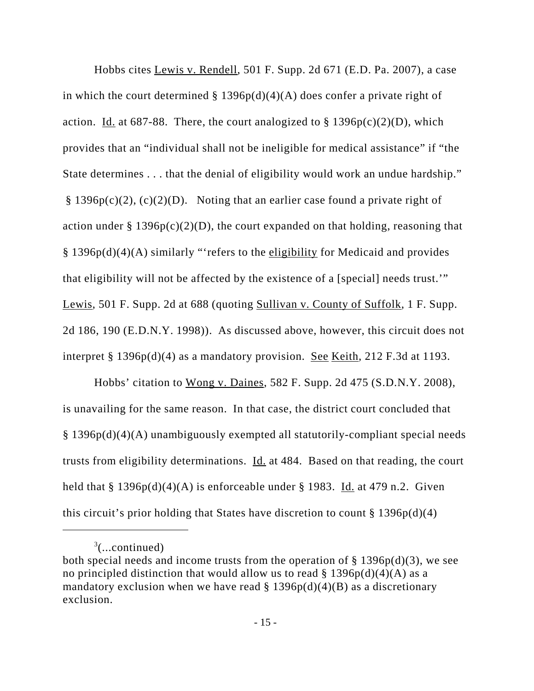Hobbs cites Lewis v. Rendell, 501 F. Supp. 2d 671 (E.D. Pa. 2007), a case in which the court determined  $\S 1396p(d)(4)(A)$  does confer a private right of action. Id. at  $687-88$ . There, the court analogized to  $\S 1396p(c)(2)(D)$ , which provides that an "individual shall not be ineligible for medical assistance" if "the State determines . . . that the denial of eligibility would work an undue hardship." § 1396 $p(c)(2)$ , (c)(2)(D). Noting that an earlier case found a private right of action under  $\S 1396p(c)(2)(D)$ , the court expanded on that holding, reasoning that § 1396p(d)(4)(A) similarly "'refers to the eligibility for Medicaid and provides that eligibility will not be affected by the existence of a [special] needs trust.'" Lewis, 501 F. Supp. 2d at 688 (quoting Sullivan v. County of Suffolk, 1 F. Supp. 2d 186, 190 (E.D.N.Y. 1998)). As discussed above, however, this circuit does not interpret § 1396p(d)(4) as a mandatory provision. See Keith, 212 F.3d at 1193.

Hobbs' citation to Wong v. Daines, 582 F. Supp. 2d 475 (S.D.N.Y. 2008), is unavailing for the same reason. In that case, the district court concluded that § 1396p(d)(4)(A) unambiguously exempted all statutorily-compliant special needs trusts from eligibility determinations. Id. at 484. Based on that reading, the court held that § 1396 $p(d)(4)(A)$  is enforceable under § 1983. Id. at 479 n.2. Given this circuit's prior holding that States have discretion to count  $\S 1396p(d)(4)$ 

 $3$ (...continued)

both special needs and income trusts from the operation of  $\S 1396p(d)(3)$ , we see no principled distinction that would allow us to read  $\S 1396p(d)(4)$  as a mandatory exclusion when we have read  $\S 1396p(d)(4)(B)$  as a discretionary exclusion.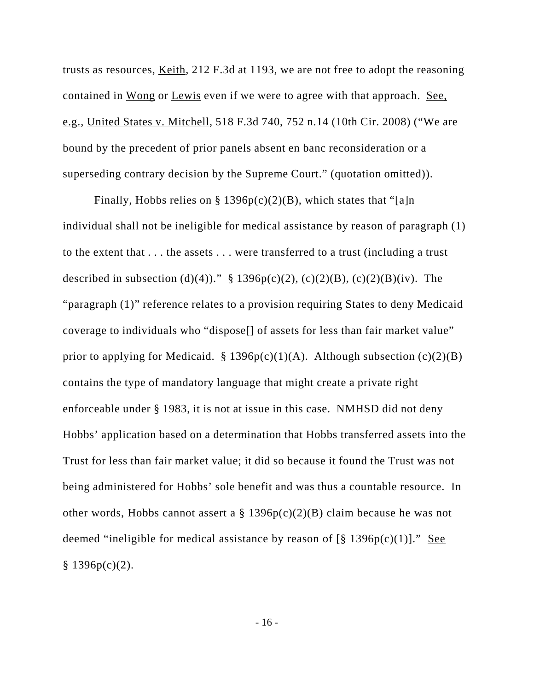trusts as resources, Keith, 212 F.3d at 1193, we are not free to adopt the reasoning contained in Wong or Lewis even if we were to agree with that approach. See, e.g., United States v. Mitchell, 518 F.3d 740, 752 n.14 (10th Cir. 2008) ("We are bound by the precedent of prior panels absent en banc reconsideration or a superseding contrary decision by the Supreme Court." (quotation omitted)).

Finally, Hobbs relies on § 1396 $p(c)(2)(B)$ , which states that "[a]n individual shall not be ineligible for medical assistance by reason of paragraph (1) to the extent that . . . the assets . . . were transferred to a trust (including a trust described in subsection (d)(4))." § 1396p(c)(2), (c)(2)(B), (c)(2)(B)(iv). The "paragraph (1)" reference relates to a provision requiring States to deny Medicaid coverage to individuals who "dispose[] of assets for less than fair market value" prior to applying for Medicaid.  $\S$  1396p(c)(1)(A). Although subsection (c)(2)(B) contains the type of mandatory language that might create a private right enforceable under § 1983, it is not at issue in this case. NMHSD did not deny Hobbs' application based on a determination that Hobbs transferred assets into the Trust for less than fair market value; it did so because it found the Trust was not being administered for Hobbs' sole benefit and was thus a countable resource. In other words, Hobbs cannot assert a  $\S$  1396p(c)(2)(B) claim because he was not deemed "ineligible for medical assistance by reason of  $\lceil \frac{8}{9} \rceil 396p(c)(1) \rceil$ ." See  $§ 1396p(c)(2).$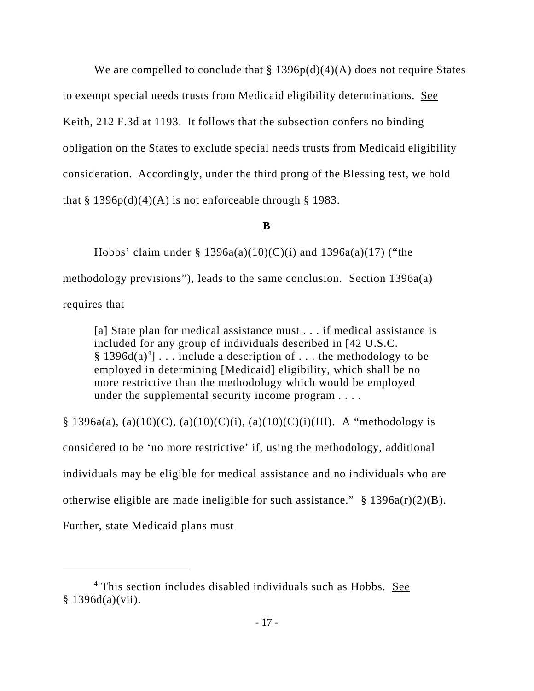We are compelled to conclude that  $\S 1396p(d)(4)(A)$  does not require States to exempt special needs trusts from Medicaid eligibility determinations. See Keith, 212 F.3d at 1193. It follows that the subsection confers no binding obligation on the States to exclude special needs trusts from Medicaid eligibility consideration. Accordingly, under the third prong of the Blessing test, we hold that  $\S 1396p(d)(4)(A)$  is not enforceable through  $\S 1983$ .

# **B**

Hobbs' claim under  $\S$  1396a(a)(10)(C)(i) and 1396a(a)(17) ("the methodology provisions"), leads to the same conclusion. Section 1396a(a) requires that

[a] State plan for medical assistance must . . . if medical assistance is included for any group of individuals described in [42 U.S.C. § 1396d(a)<sup>4</sup>]  $\ldots$  include a description of  $\ldots$  the methodology to be employed in determining [Medicaid] eligibility, which shall be no more restrictive than the methodology which would be employed under the supplemental security income program . . . .

§ 1396a(a), (a)(10)(C), (a)(10)(C)(i), (a)(10)(C)(i)(III). A "methodology is considered to be 'no more restrictive' if, using the methodology, additional individuals may be eligible for medical assistance and no individuals who are otherwise eligible are made ineligible for such assistance."  $\S$  1396a(r)(2)(B). Further, state Medicaid plans must

<sup>&</sup>lt;sup>4</sup> This section includes disabled individuals such as Hobbs. See § 1396d(a)(vii).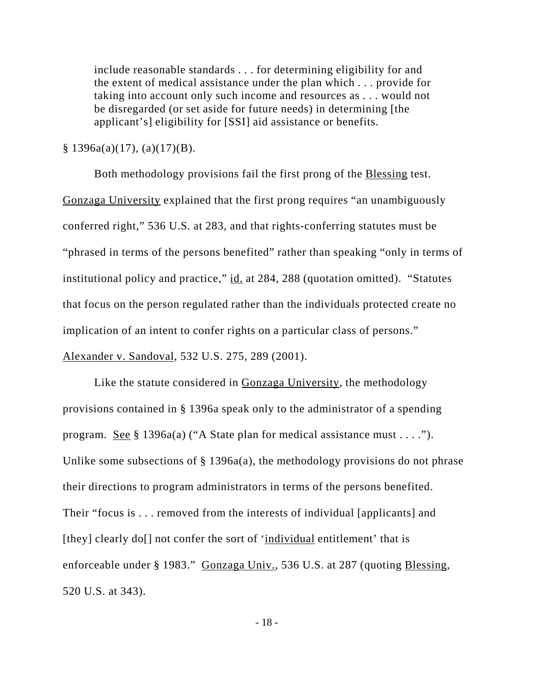include reasonable standards . . . for determining eligibility for and the extent of medical assistance under the plan which . . . provide for taking into account only such income and resources as . . . would not be disregarded (or set aside for future needs) in determining [the applicant's] eligibility for [SSI] aid assistance or benefits.

 $§ 1396a(a)(17), (a)(17)(B).$ 

Both methodology provisions fail the first prong of the Blessing test. Gonzaga University explained that the first prong requires "an unambiguously conferred right," 536 U.S. at 283, and that rights-conferring statutes must be "phrased in terms of the persons benefited" rather than speaking "only in terms of institutional policy and practice," id. at 284, 288 (quotation omitted). "Statutes that focus on the person regulated rather than the individuals protected create no implication of an intent to confer rights on a particular class of persons." Alexander v. Sandoval, 532 U.S. 275, 289 (2001).

Like the statute considered in Gonzaga University, the methodology provisions contained in § 1396a speak only to the administrator of a spending program. <u>See §</u> 1396a(a) ("A State plan for medical assistance must . . . ."). Unlike some subsections of  $\S$  1396a(a), the methodology provisions do not phrase their directions to program administrators in terms of the persons benefited. Their "focus is . . . removed from the interests of individual [applicants] and [they] clearly do<sup>[]</sup> not confer the sort of 'individual entitlement' that is enforceable under § 1983." Gonzaga Univ., 536 U.S. at 287 (quoting Blessing, 520 U.S. at 343).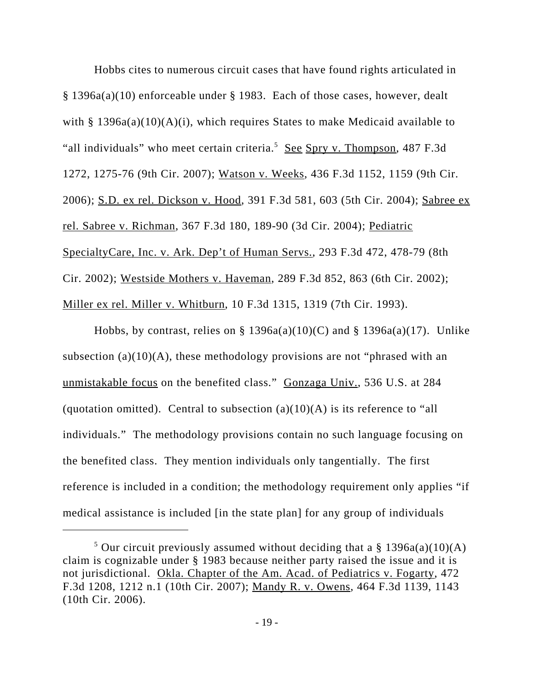Hobbs cites to numerous circuit cases that have found rights articulated in § 1396a(a)(10) enforceable under § 1983. Each of those cases, however, dealt with §  $1396a(a)(10)(A)(i)$ , which requires States to make Medicaid available to "all individuals" who meet certain criteria.<sup>5</sup> See Spry v. Thompson, 487 F.3d 1272, 1275-76 (9th Cir. 2007); Watson v. Weeks, 436 F.3d 1152, 1159 (9th Cir. 2006); S.D. ex rel. Dickson v. Hood, 391 F.3d 581, 603 (5th Cir. 2004); Sabree ex rel. Sabree v. Richman, 367 F.3d 180, 189-90 (3d Cir. 2004); Pediatric SpecialtyCare, Inc. v. Ark. Dep't of Human Servs., 293 F.3d 472, 478-79 (8th Cir. 2002); Westside Mothers v. Haveman, 289 F.3d 852, 863 (6th Cir. 2002); Miller ex rel. Miller v. Whitburn, 10 F.3d 1315, 1319 (7th Cir. 1993).

Hobbs, by contrast, relies on § 1396a(a)(10)(C) and § 1396a(a)(17). Unlike subsection (a) $(10)(A)$ , these methodology provisions are not "phrased with an unmistakable focus on the benefited class." Gonzaga Univ., 536 U.S. at 284 (quotation omitted). Central to subsection  $(a)(10)(A)$  is its reference to "all individuals." The methodology provisions contain no such language focusing on the benefited class. They mention individuals only tangentially. The first reference is included in a condition; the methodology requirement only applies "if medical assistance is included [in the state plan] for any group of individuals

<sup>&</sup>lt;sup>5</sup> Our circuit previously assumed without deciding that a  $\S$  1396a(a)(10)(A) claim is cognizable under § 1983 because neither party raised the issue and it is not jurisdictional. Okla. Chapter of the Am. Acad. of Pediatrics v. Fogarty, 472 F.3d 1208, 1212 n.1 (10th Cir. 2007); Mandy R. v. Owens, 464 F.3d 1139, 1143 (10th Cir. 2006).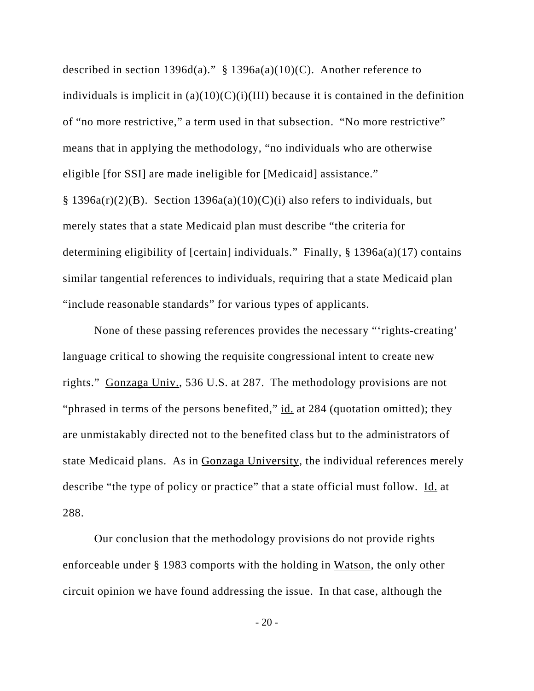described in section 1396d(a)."  $\S$  1396a(a)(10)(C). Another reference to individuals is implicit in  $(a)(10)(C)(i)(III)$  because it is contained in the definition of "no more restrictive," a term used in that subsection. "No more restrictive" means that in applying the methodology, "no individuals who are otherwise eligible [for SSI] are made ineligible for [Medicaid] assistance."  $§ 1396a(r)(2)(B)$ . Section 1396a(a)(10)(C)(i) also refers to individuals, but merely states that a state Medicaid plan must describe "the criteria for determining eligibility of [certain] individuals." Finally, § 1396a(a)(17) contains similar tangential references to individuals, requiring that a state Medicaid plan "include reasonable standards" for various types of applicants.

None of these passing references provides the necessary "'rights-creating' language critical to showing the requisite congressional intent to create new rights." Gonzaga Univ., 536 U.S. at 287. The methodology provisions are not "phrased in terms of the persons benefited," id. at 284 (quotation omitted); they are unmistakably directed not to the benefited class but to the administrators of state Medicaid plans. As in Gonzaga University, the individual references merely describe "the type of policy or practice" that a state official must follow. Id. at 288.

Our conclusion that the methodology provisions do not provide rights enforceable under § 1983 comports with the holding in Watson, the only other circuit opinion we have found addressing the issue. In that case, although the

- 20 -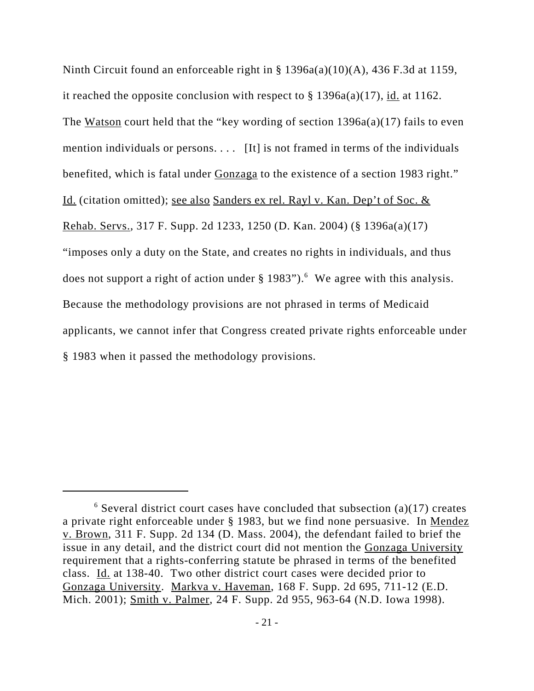Ninth Circuit found an enforceable right in § 1396a(a)(10)(A), 436 F.3d at 1159, it reached the opposite conclusion with respect to  $\S 1396a(a)(17)$ , id. at 1162. The Watson court held that the "key wording of section  $1396a(a)(17)$  fails to even mention individuals or persons. . . . [It] is not framed in terms of the individuals benefited, which is fatal under Gonzaga to the existence of a section 1983 right." Id. (citation omitted); see also Sanders ex rel. Rayl v. Kan. Dep't of Soc. & Rehab. Servs., 317 F. Supp. 2d 1233, 1250 (D. Kan. 2004) (§ 1396a(a)(17) "imposes only a duty on the State, and creates no rights in individuals, and thus does not support a right of action under  $\S 1983$ ").<sup>6</sup> We agree with this analysis. Because the methodology provisions are not phrased in terms of Medicaid applicants, we cannot infer that Congress created private rights enforceable under § 1983 when it passed the methodology provisions.

 $6$  Several district court cases have concluded that subsection (a)(17) creates a private right enforceable under § 1983, but we find none persuasive. In Mendez v. Brown, 311 F. Supp. 2d 134 (D. Mass. 2004), the defendant failed to brief the issue in any detail, and the district court did not mention the Gonzaga University requirement that a rights-conferring statute be phrased in terms of the benefited class. Id. at 138-40. Two other district court cases were decided prior to Gonzaga University. Markva v. Haveman, 168 F. Supp. 2d 695, 711-12 (E.D. Mich. 2001); Smith v. Palmer, 24 F. Supp. 2d 955, 963-64 (N.D. Iowa 1998).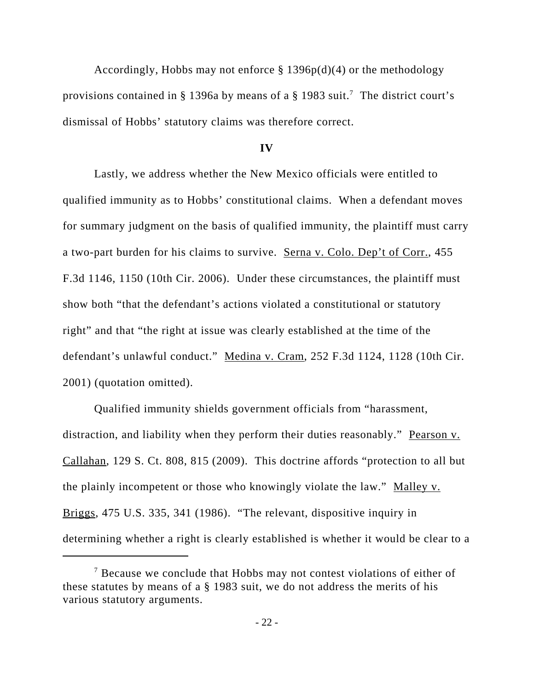Accordingly, Hobbs may not enforce  $\S 1396p(d)(4)$  or the methodology provisions contained in § 1396a by means of a § 1983 suit.<sup>7</sup> The district court's dismissal of Hobbs' statutory claims was therefore correct.

#### **IV**

Lastly, we address whether the New Mexico officials were entitled to qualified immunity as to Hobbs' constitutional claims. When a defendant moves for summary judgment on the basis of qualified immunity, the plaintiff must carry a two-part burden for his claims to survive. Serna v. Colo. Dep't of Corr., 455 F.3d 1146, 1150 (10th Cir. 2006). Under these circumstances, the plaintiff must show both "that the defendant's actions violated a constitutional or statutory right" and that "the right at issue was clearly established at the time of the defendant's unlawful conduct." Medina v. Cram, 252 F.3d 1124, 1128 (10th Cir. 2001) (quotation omitted).

Qualified immunity shields government officials from "harassment, distraction, and liability when they perform their duties reasonably." Pearson v. Callahan, 129 S. Ct. 808, 815 (2009). This doctrine affords "protection to all but the plainly incompetent or those who knowingly violate the law." Malley v. Briggs, 475 U.S. 335, 341 (1986). "The relevant, dispositive inquiry in determining whether a right is clearly established is whether it would be clear to a

<sup>&</sup>lt;sup>7</sup> Because we conclude that Hobbs may not contest violations of either of these statutes by means of a § 1983 suit, we do not address the merits of his various statutory arguments.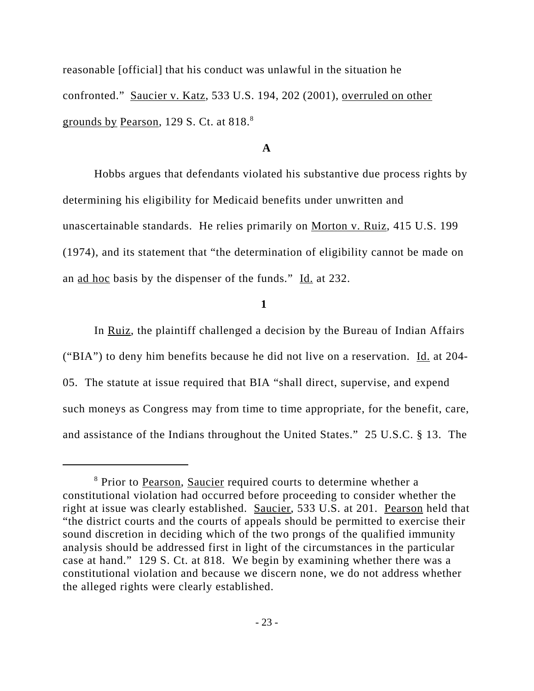reasonable [official] that his conduct was unlawful in the situation he confronted." Saucier v. Katz, 533 U.S. 194, 202 (2001), overruled on other grounds by Pearson, 129 S. Ct. at 818.<sup>8</sup>

### **A**

Hobbs argues that defendants violated his substantive due process rights by determining his eligibility for Medicaid benefits under unwritten and unascertainable standards. He relies primarily on Morton v. Ruiz, 415 U.S. 199 (1974), and its statement that "the determination of eligibility cannot be made on an ad hoc basis by the dispenser of the funds." Id. at 232.

### **1**

In Ruiz, the plaintiff challenged a decision by the Bureau of Indian Affairs ("BIA") to deny him benefits because he did not live on a reservation. Id. at 204- 05. The statute at issue required that BIA "shall direct, supervise, and expend such moneys as Congress may from time to time appropriate, for the benefit, care, and assistance of the Indians throughout the United States." 25 U.S.C. § 13. The

<sup>&</sup>lt;sup>8</sup> Prior to Pearson, Saucier required courts to determine whether a constitutional violation had occurred before proceeding to consider whether the right at issue was clearly established. Saucier, 533 U.S. at 201. Pearson held that "the district courts and the courts of appeals should be permitted to exercise their sound discretion in deciding which of the two prongs of the qualified immunity analysis should be addressed first in light of the circumstances in the particular case at hand." 129 S. Ct. at 818. We begin by examining whether there was a constitutional violation and because we discern none, we do not address whether the alleged rights were clearly established.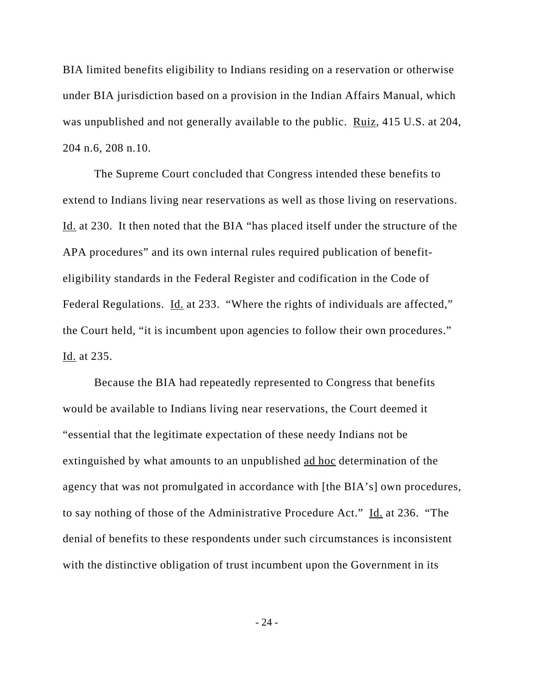BIA limited benefits eligibility to Indians residing on a reservation or otherwise under BIA jurisdiction based on a provision in the Indian Affairs Manual, which was unpublished and not generally available to the public. Ruiz, 415 U.S. at 204, 204 n.6, 208 n.10.

The Supreme Court concluded that Congress intended these benefits to extend to Indians living near reservations as well as those living on reservations. Id. at 230. It then noted that the BIA "has placed itself under the structure of the APA procedures" and its own internal rules required publication of benefiteligibility standards in the Federal Register and codification in the Code of Federal Regulations. Id. at 233. "Where the rights of individuals are affected," the Court held, "it is incumbent upon agencies to follow their own procedures." Id. at 235.

Because the BIA had repeatedly represented to Congress that benefits would be available to Indians living near reservations, the Court deemed it "essential that the legitimate expectation of these needy Indians not be extinguished by what amounts to an unpublished ad hoc determination of the agency that was not promulgated in accordance with [the BIA's] own procedures, to say nothing of those of the Administrative Procedure Act." Id. at 236. "The denial of benefits to these respondents under such circumstances is inconsistent with the distinctive obligation of trust incumbent upon the Government in its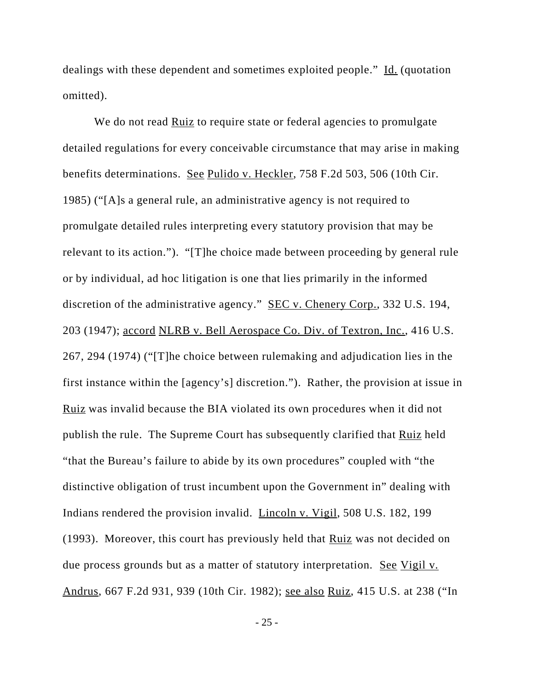dealings with these dependent and sometimes exploited people." Id. (quotation omitted).

We do not read Ruiz to require state or federal agencies to promulgate detailed regulations for every conceivable circumstance that may arise in making benefits determinations. See Pulido v. Heckler, 758 F.2d 503, 506 (10th Cir. 1985) ("[A]s a general rule, an administrative agency is not required to promulgate detailed rules interpreting every statutory provision that may be relevant to its action."). "[T]he choice made between proceeding by general rule or by individual, ad hoc litigation is one that lies primarily in the informed discretion of the administrative agency." <u>SEC v. Chenery Corp.</u>, 332 U.S. 194, 203 (1947); accord NLRB v. Bell Aerospace Co. Div. of Textron, Inc., 416 U.S. 267, 294 (1974) ("[T]he choice between rulemaking and adjudication lies in the first instance within the [agency's] discretion."). Rather, the provision at issue in Ruiz was invalid because the BIA violated its own procedures when it did not publish the rule. The Supreme Court has subsequently clarified that Ruiz held "that the Bureau's failure to abide by its own procedures" coupled with "the distinctive obligation of trust incumbent upon the Government in" dealing with Indians rendered the provision invalid. Lincoln v. Vigil, 508 U.S. 182, 199 (1993). Moreover, this court has previously held that Ruiz was not decided on due process grounds but as a matter of statutory interpretation. See Vigil v. Andrus, 667 F.2d 931, 939 (10th Cir. 1982); see also Ruiz, 415 U.S. at 238 ("In

- 25 -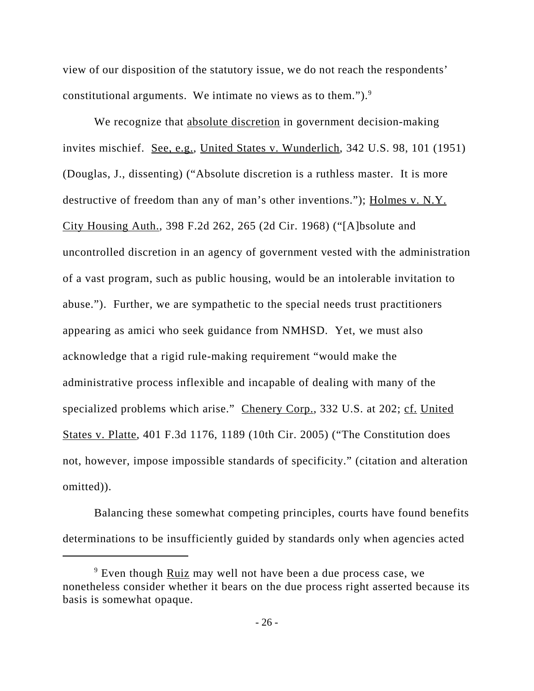view of our disposition of the statutory issue, we do not reach the respondents' constitutional arguments. We intimate no views as to them.").<sup>9</sup>

We recognize that absolute discretion in government decision-making invites mischief. See, e.g., United States v. Wunderlich, 342 U.S. 98, 101 (1951) (Douglas, J., dissenting) ("Absolute discretion is a ruthless master. It is more destructive of freedom than any of man's other inventions."); Holmes v. N.Y. City Housing Auth., 398 F.2d 262, 265 (2d Cir. 1968) ("[A]bsolute and uncontrolled discretion in an agency of government vested with the administration of a vast program, such as public housing, would be an intolerable invitation to abuse."). Further, we are sympathetic to the special needs trust practitioners appearing as amici who seek guidance from NMHSD. Yet, we must also acknowledge that a rigid rule-making requirement "would make the administrative process inflexible and incapable of dealing with many of the specialized problems which arise." Chenery Corp., 332 U.S. at 202; cf. United States v. Platte, 401 F.3d 1176, 1189 (10th Cir. 2005) ("The Constitution does not, however, impose impossible standards of specificity." (citation and alteration omitted)).

Balancing these somewhat competing principles, courts have found benefits determinations to be insufficiently guided by standards only when agencies acted

<sup>&</sup>lt;sup>9</sup> Even though **Ruiz** may well not have been a due process case, we nonetheless consider whether it bears on the due process right asserted because its basis is somewhat opaque.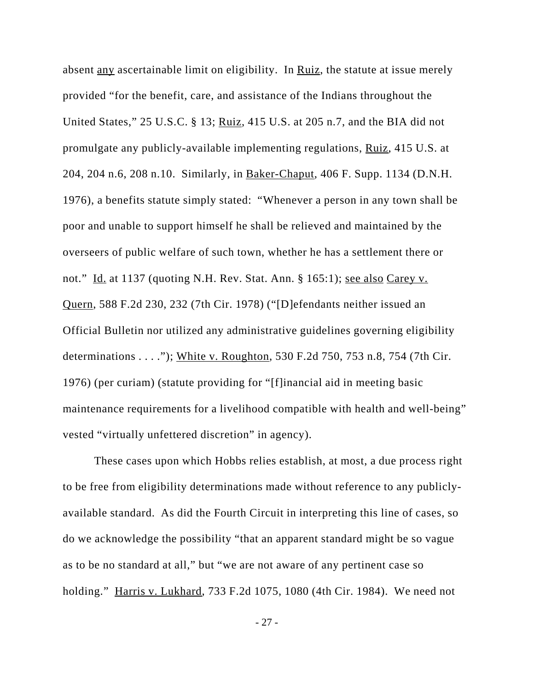absent <u>any</u> ascertainable limit on eligibility. In Ruiz, the statute at issue merely provided "for the benefit, care, and assistance of the Indians throughout the United States," 25 U.S.C. § 13; Ruiz, 415 U.S. at 205 n.7, and the BIA did not promulgate any publicly-available implementing regulations, Ruiz, 415 U.S. at 204, 204 n.6, 208 n.10. Similarly, in Baker-Chaput, 406 F. Supp. 1134 (D.N.H. 1976), a benefits statute simply stated: "Whenever a person in any town shall be poor and unable to support himself he shall be relieved and maintained by the overseers of public welfare of such town, whether he has a settlement there or not." Id. at 1137 (quoting N.H. Rev. Stat. Ann. § 165:1); see also Carey v. Quern, 588 F.2d 230, 232 (7th Cir. 1978) ("[D]efendants neither issued an Official Bulletin nor utilized any administrative guidelines governing eligibility determinations . . . ."); White v. Roughton, 530 F.2d 750, 753 n.8, 754 (7th Cir. 1976) (per curiam) (statute providing for "[f]inancial aid in meeting basic maintenance requirements for a livelihood compatible with health and well-being" vested "virtually unfettered discretion" in agency).

These cases upon which Hobbs relies establish, at most, a due process right to be free from eligibility determinations made without reference to any publiclyavailable standard. As did the Fourth Circuit in interpreting this line of cases, so do we acknowledge the possibility "that an apparent standard might be so vague as to be no standard at all," but "we are not aware of any pertinent case so holding." Harris v. Lukhard, 733 F.2d 1075, 1080 (4th Cir. 1984). We need not

- 27 -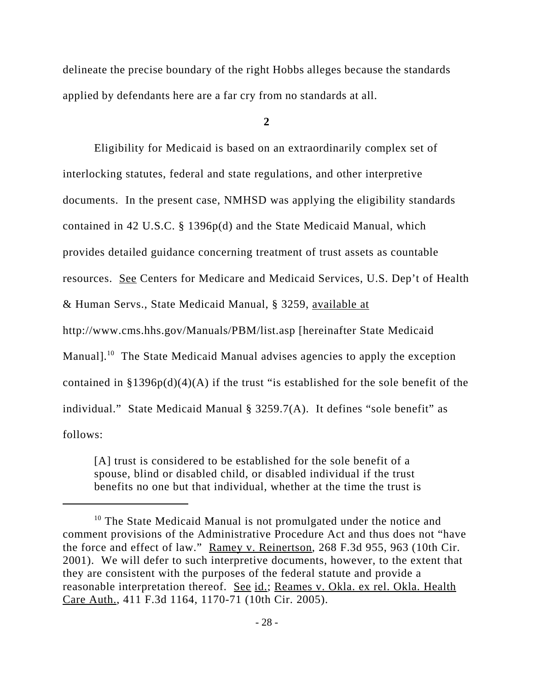delineate the precise boundary of the right Hobbs alleges because the standards applied by defendants here are a far cry from no standards at all.

**2**

Eligibility for Medicaid is based on an extraordinarily complex set of interlocking statutes, federal and state regulations, and other interpretive documents. In the present case, NMHSD was applying the eligibility standards contained in 42 U.S.C. § 1396p(d) and the State Medicaid Manual, which provides detailed guidance concerning treatment of trust assets as countable resources. See Centers for Medicare and Medicaid Services, U.S. Dep't of Health & Human Servs., State Medicaid Manual, § 3259, available at http://www.cms.hhs.gov/Manuals/PBM/list.asp [hereinafter State Medicaid Manual].<sup>10</sup> The State Medicaid Manual advises agencies to apply the exception contained in  $\S 1396p(d)(4)(A)$  if the trust "is established for the sole benefit of the individual." State Medicaid Manual § 3259.7(A). It defines "sole benefit" as follows:

[A] trust is considered to be established for the sole benefit of a spouse, blind or disabled child, or disabled individual if the trust benefits no one but that individual, whether at the time the trust is

 $10$  The State Medicaid Manual is not promulgated under the notice and comment provisions of the Administrative Procedure Act and thus does not "have the force and effect of law." Ramey v. Reinertson, 268 F.3d 955, 963 (10th Cir. 2001). We will defer to such interpretive documents, however, to the extent that they are consistent with the purposes of the federal statute and provide a reasonable interpretation thereof. See id.; Reames v. Okla. ex rel. Okla. Health Care Auth., 411 F.3d 1164, 1170-71 (10th Cir. 2005).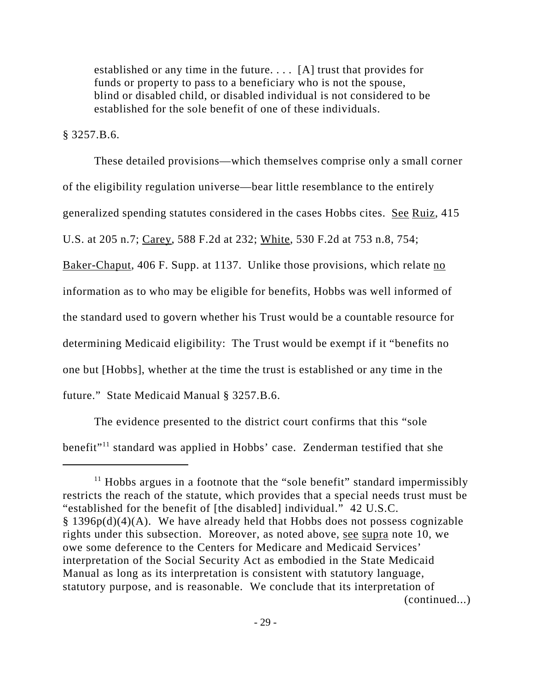established or any time in the future. . . . [A] trust that provides for funds or property to pass to a beneficiary who is not the spouse, blind or disabled child, or disabled individual is not considered to be established for the sole benefit of one of these individuals.

§ 3257.B.6.

These detailed provisions—which themselves comprise only a small corner of the eligibility regulation universe—bear little resemblance to the entirely generalized spending statutes considered in the cases Hobbs cites. See Ruiz, 415 U.S. at 205 n.7; Carey, 588 F.2d at 232; White, 530 F.2d at 753 n.8, 754; Baker-Chaput, 406 F. Supp. at 1137. Unlike those provisions, which relate no information as to who may be eligible for benefits, Hobbs was well informed of the standard used to govern whether his Trust would be a countable resource for

determining Medicaid eligibility: The Trust would be exempt if it "benefits no

one but [Hobbs], whether at the time the trust is established or any time in the

future." State Medicaid Manual § 3257.B.6.

The evidence presented to the district court confirms that this "sole benefit"11 standard was applied in Hobbs' case. Zenderman testified that she

 $11$  Hobbs argues in a footnote that the "sole benefit" standard impermissibly restricts the reach of the statute, which provides that a special needs trust must be "established for the benefit of [the disabled] individual." 42 U.S.C.  $§$  1396p(d)(4)(A). We have already held that Hobbs does not possess cognizable rights under this subsection. Moreover, as noted above, see supra note 10, we owe some deference to the Centers for Medicare and Medicaid Services' interpretation of the Social Security Act as embodied in the State Medicaid Manual as long as its interpretation is consistent with statutory language, statutory purpose, and is reasonable. We conclude that its interpretation of (continued...)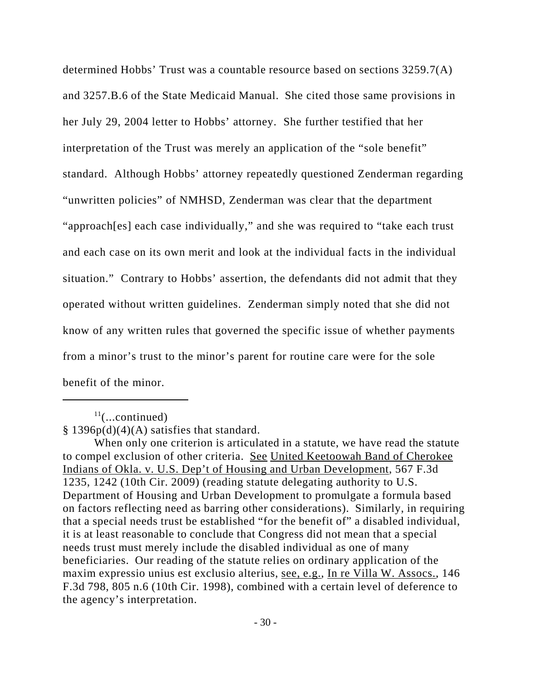determined Hobbs' Trust was a countable resource based on sections 3259.7(A) and 3257.B.6 of the State Medicaid Manual. She cited those same provisions in her July 29, 2004 letter to Hobbs' attorney. She further testified that her interpretation of the Trust was merely an application of the "sole benefit" standard. Although Hobbs' attorney repeatedly questioned Zenderman regarding "unwritten policies" of NMHSD, Zenderman was clear that the department "approach[es] each case individually," and she was required to "take each trust and each case on its own merit and look at the individual facts in the individual situation." Contrary to Hobbs' assertion, the defendants did not admit that they operated without written guidelines. Zenderman simply noted that she did not know of any written rules that governed the specific issue of whether payments from a minor's trust to the minor's parent for routine care were for the sole benefit of the minor.

 $11$ (...continued)

 $§ 1396p(d)(4)(A)$  satisfies that standard.

When only one criterion is articulated in a statute, we have read the statute to compel exclusion of other criteria. See United Keetoowah Band of Cherokee Indians of Okla. v. U.S. Dep't of Housing and Urban Development, 567 F.3d 1235, 1242 (10th Cir. 2009) (reading statute delegating authority to U.S. Department of Housing and Urban Development to promulgate a formula based on factors reflecting need as barring other considerations). Similarly, in requiring that a special needs trust be established "for the benefit of" a disabled individual, it is at least reasonable to conclude that Congress did not mean that a special needs trust must merely include the disabled individual as one of many beneficiaries. Our reading of the statute relies on ordinary application of the maxim expressio unius est exclusio alterius, see, e.g., In re Villa W. Assocs., 146 F.3d 798, 805 n.6 (10th Cir. 1998), combined with a certain level of deference to the agency's interpretation.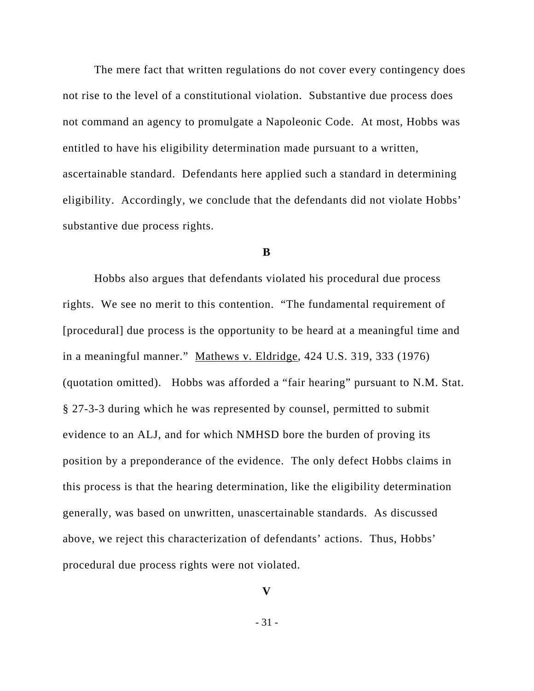The mere fact that written regulations do not cover every contingency does not rise to the level of a constitutional violation. Substantive due process does not command an agency to promulgate a Napoleonic Code. At most, Hobbs was entitled to have his eligibility determination made pursuant to a written, ascertainable standard. Defendants here applied such a standard in determining eligibility. Accordingly, we conclude that the defendants did not violate Hobbs' substantive due process rights.

#### **B**

Hobbs also argues that defendants violated his procedural due process rights. We see no merit to this contention. "The fundamental requirement of [procedural] due process is the opportunity to be heard at a meaningful time and in a meaningful manner." Mathews v. Eldridge, 424 U.S. 319, 333 (1976) (quotation omitted). Hobbs was afforded a "fair hearing" pursuant to N.M. Stat. § 27-3-3 during which he was represented by counsel, permitted to submit evidence to an ALJ, and for which NMHSD bore the burden of proving its position by a preponderance of the evidence. The only defect Hobbs claims in this process is that the hearing determination, like the eligibility determination generally, was based on unwritten, unascertainable standards. As discussed above, we reject this characterization of defendants' actions. Thus, Hobbs' procedural due process rights were not violated.

## **V**